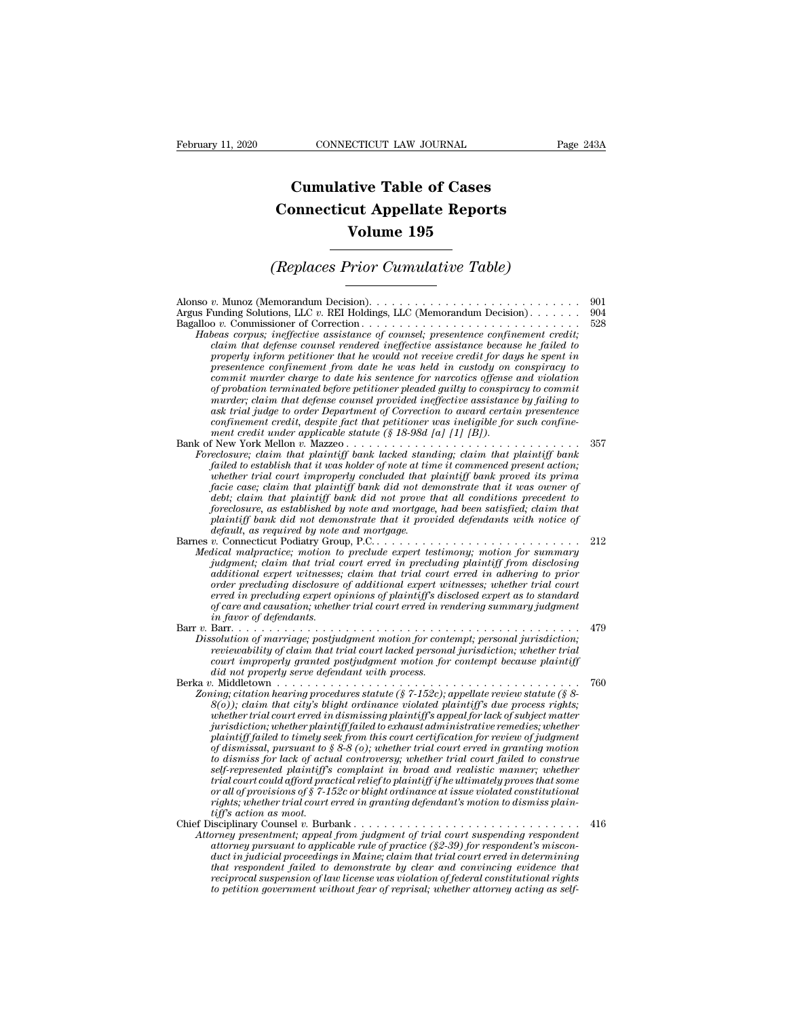## **CONNECTICUT LAW JOURNAL**<br> **Cumulative Table of Cases<br>
pnnecticut Appellate Reports CONNECTICUT LAW JOURNAL** Pag<br> **Cumulative Table of Cases<br>
Connecticut Appellate Reports<br>
Volume 195 CONNECTICUT LAW JOURNAL**<br> **Cumulative Table of Cases<br>
Connecticut Appellate Reports<br>
Volume 195 Cumulative Table of Cases<br>
Connecticut Appellate Reports<br>
Volume 195<br>
(Replaces Prior Cumulative Table)**<br> **CREPLACES Prior Cumulative Table**)

## *(Replaces Prior Cumulative Table)*

| Volume 195                                                                                                                                                                                                                                                                                                                                                                                                                                                                                                                                                                                                                                                                                                                                                                                                                                                                                                                                                                                                                                                                       |                   |
|----------------------------------------------------------------------------------------------------------------------------------------------------------------------------------------------------------------------------------------------------------------------------------------------------------------------------------------------------------------------------------------------------------------------------------------------------------------------------------------------------------------------------------------------------------------------------------------------------------------------------------------------------------------------------------------------------------------------------------------------------------------------------------------------------------------------------------------------------------------------------------------------------------------------------------------------------------------------------------------------------------------------------------------------------------------------------------|-------------------|
| (Replaces Prior Cumulative Table)                                                                                                                                                                                                                                                                                                                                                                                                                                                                                                                                                                                                                                                                                                                                                                                                                                                                                                                                                                                                                                                |                   |
| Alonso v. Munoz (Memorandum Decision). $\ldots \ldots \ldots \ldots \ldots \ldots \ldots \ldots \ldots \ldots$<br>Argus Funding Solutions, LLC v. REI Holdings, LLC (Memorandum Decision).<br>Bagalloo v. Commissioner of Correction<br>Habeas corpus; ineffective assistance of counsel; presentence confinement credit;<br>claim that defense counsel rendered ineffective assistance because he failed to<br>properly inform petitioner that he would not receive credit for days he spent in<br>presentence confinement from date he was held in custody on conspiracy to<br>commit murder charge to date his sentence for narcotics offense and violation<br>of probation terminated before petitioner pleaded guilty to conspiracy to commit<br>murder; claim that defense counsel provided ineffective assistance by failing to<br>ask trial judge to order Department of Correction to award certain presentence<br>confinement credit, despite fact that petitioner was ineligible for such confine-<br>ment credit under applicable statute $(\S 18-98d [a] [1] [B]).$ | 901<br>904<br>528 |
| Foreclosure; claim that plaintiff bank lacked standing; claim that plaintiff bank<br>failed to establish that it was holder of note at time it commenced present action;<br>whether trial court improperly concluded that plaintiff bank proved its prima<br>facie case; claim that plaintiff bank did not demonstrate that it was owner of<br>debt; claim that plaintiff bank did not prove that all conditions precedent to<br>foreclosure, as established by note and mortgage, had been satisfied; claim that<br>plaintiff bank did not demonstrate that it provided defendants with notice of<br>default, as required by note and mortgage.                                                                                                                                                                                                                                                                                                                                                                                                                                 | 357               |
| Barnes v. Connecticut Podiatry Group, P.C<br>Medical malpractice; motion to preclude expert testimony; motion for summary<br>judgment; claim that trial court erred in precluding plaintiff from disclosing<br>additional expert witnesses; claim that trial court erred in adhering to prior<br>order precluding disclosure of additional expert witnesses; whether trial court<br>erred in precluding expert opinions of plaintiff's disclosed expert as to standard<br>of care and causation; whether trial court erred in rendering summary judgment<br>in favor of defendants.                                                                                                                                                                                                                                                                                                                                                                                                                                                                                              | 212               |
| Dissolution of marriage; postjudgment motion for contempt; personal jurisdiction;<br>reviewability of claim that trial court lacked personal jurisdiction; whether trial<br>court improperly granted postjudgment motion for contempt because plaintiff<br>did not properly serve defendant with process.                                                                                                                                                                                                                                                                                                                                                                                                                                                                                                                                                                                                                                                                                                                                                                        | 479               |
| Zoning; citation hearing procedures statute (§ 7-152c); appellate review statute (§ 8-<br>$S(0)$ ); claim that city's blight ordinance violated plaintiff's due process rights;<br>whether trial court erred in dismissing plaintiff's appeal for lack of subject matter<br>jurisdiction; whether plaintiff failed to exhaust administrative remedies; whether<br>plaintiff failed to timely seek from this court certification for review of judgment<br>of dismissal, pursuant to $\S 8-8$ (o); whether trial court erred in granting motion<br>to dismiss for lack of actual controversy; whether trial court failed to construe<br>self-represented plaintiff's complaint in broad and realistic manner; whether<br>trial court could afford practical relief to plaintiff if he ultimately proves that some<br>or all of provisions of $\S 7$ -152c or blight ordinance at issue violated constitutional<br>rights; whether trial court erred in granting defendant's motion to dismiss plain-<br>tiff's action as moot.                                                    | 760               |
| Attorney presentment; appeal from judgment of trial court suspending respondent<br>attorney pursuant to applicable rule of practice (§2-39) for respondent's miscon-<br>duct in judicial proceedings in Maine; claim that trial court erred in determining<br>that respondent failed to demonstrate by clear and convincing evidence that<br>reciprocal suspension of law license was violation of federal constitutional rights<br>to petition government without fear of reprisal; whether attorney acting as self-                                                                                                                                                                                                                                                                                                                                                                                                                                                                                                                                                            | 416               |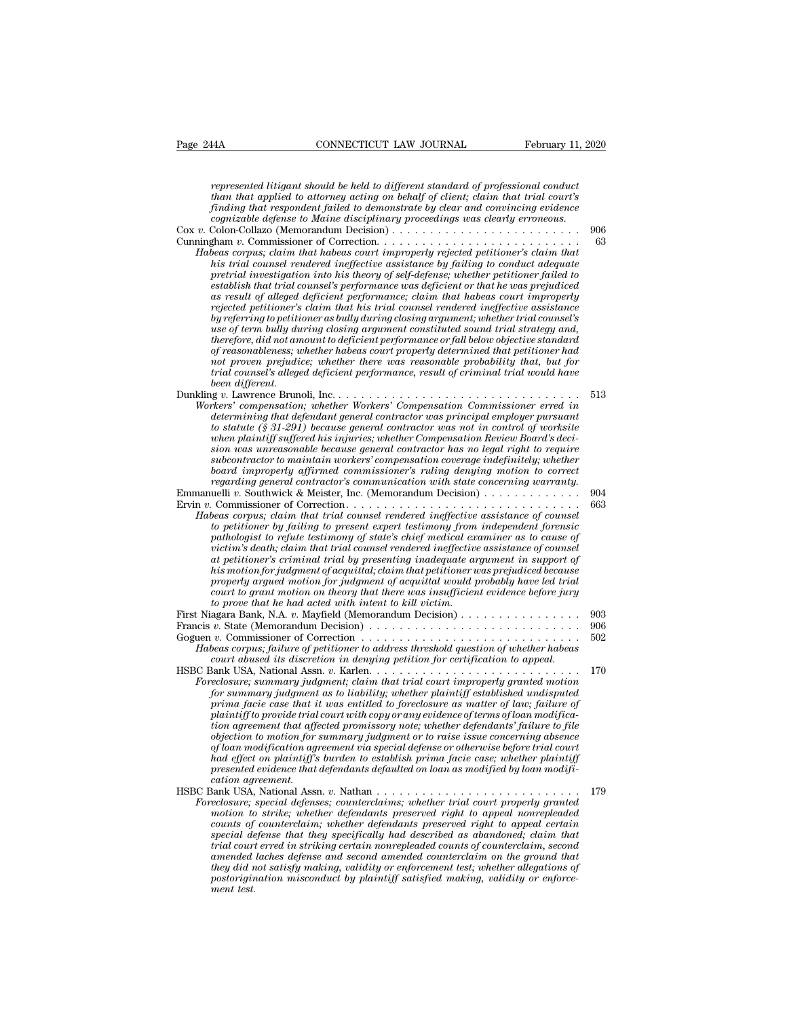| CONNECTICUT LAW JOURNAL<br>Page 244A                                                                                                                                                                                                                                                                                                                                                                                                                                                                                                                                                                                                                                                                                                                                                                                                                                                                                                                                                                                                                                       | February 11, 2020 |
|----------------------------------------------------------------------------------------------------------------------------------------------------------------------------------------------------------------------------------------------------------------------------------------------------------------------------------------------------------------------------------------------------------------------------------------------------------------------------------------------------------------------------------------------------------------------------------------------------------------------------------------------------------------------------------------------------------------------------------------------------------------------------------------------------------------------------------------------------------------------------------------------------------------------------------------------------------------------------------------------------------------------------------------------------------------------------|-------------------|
| represented litigant should be held to different standard of professional conduct<br>than that applied to attorney acting on behalf of client; claim that trial court's<br>finding that respondent failed to demonstrate by clear and convincing evidence<br>cognizable defense to Maine disciplinary proceedings was clearly erroneous.                                                                                                                                                                                                                                                                                                                                                                                                                                                                                                                                                                                                                                                                                                                                   |                   |
| $\cos v$ . Colon-Collazo (Memorandum Decision)                                                                                                                                                                                                                                                                                                                                                                                                                                                                                                                                                                                                                                                                                                                                                                                                                                                                                                                                                                                                                             | 906               |
| Habeas corpus; claim that habeas court improperly rejected petitioner's claim that<br>his trial counsel rendered ineffective assistance by failing to conduct adequate<br>pretrial investigation into his theory of self-defense; whether petitioner failed to<br>establish that trial counsel's performance was deficient or that he was prejudiced<br>as result of alleged deficient performance; claim that habeas court improperly<br>rejected petitioner's claim that his trial counsel rendered ineffective assistance<br>by referring to petitioner as bully during closing argument; whether trial counsel's<br>use of term bully during closing argument constituted sound trial strategy and,<br>therefore, did not amount to deficient performance or fall below objective standard<br>of reasonableness; whether habeas court properly determined that petitioner had<br>not proven prejudice; whether there was reasonable probability that, but for<br>trial counsel's alleged deficient performance, result of criminal trial would have<br>been different. | 63                |
| Workers' compensation; whether Workers' Compensation Commissioner erred in<br>determining that defendant general contractor was principal employer pursuant<br>to statute $(\S 31-291)$ because general contractor was not in control of worksite<br>when plaintiff suffered his injuries; whether Compensation Review Board's deci-<br>sion was unreasonable because general contractor has no legal right to require<br>subcontractor to maintain workers' compensation coverage indefinitely; whether<br>board improperly affirmed commissioner's ruling denying motion to correct<br>regarding general contractor's communication with state concerning warranty.                                                                                                                                                                                                                                                                                                                                                                                                      | 513               |
| Habeas corpus; claim that trial counsel rendered ineffective assistance of counsel<br>to petitioner by failing to present expert testimony from independent forensic<br>pathologist to refute testimony of state's chief medical examiner as to cause of<br>victim's death; claim that trial counsel rendered ineffective assistance of counsel<br>at petitioner's criminal trial by presenting inadequate argument in support of<br>his motion for judgment of acquittal; claim that petitioner was prejudiced because<br>properly argued motion for judgment of acquittal would probably have led trial<br>court to grant motion on theory that there was insufficient evidence before jury<br>to prove that he had acted with intent to kill victim.                                                                                                                                                                                                                                                                                                                    | 904<br>663        |
| First Niagara Bank, N.A. v. Mayfield (Memorandum Decision)<br>Francis v. State (Memorandum Decision) $\ldots$ , , , , , , ,                                                                                                                                                                                                                                                                                                                                                                                                                                                                                                                                                                                                                                                                                                                                                                                                                                                                                                                                                | 903<br>906        |
| Habeas corpus; failure of petitioner to address threshold question of whether habeas<br>court abused its discretion in denying petition for certification to appeal.                                                                                                                                                                                                                                                                                                                                                                                                                                                                                                                                                                                                                                                                                                                                                                                                                                                                                                       | 502               |
| Foreclosure; summary judgment; claim that trial court improperly granted motion<br>for summary judgment as to liability; whether plaintiff established undisputed<br>prima facie case that it was entitled to foreclosure as matter of law; failure of<br>plaintiff to provide trial court with copy or any evidence of terms of loan modifica-<br>tion agreement that affected promissory note; whether defendants' failure to file<br>objection to motion for summary judgment or to raise issue concerning absence<br>of loan modification agreement via special defense or otherwise before trial court<br>had effect on plaintiff's burden to establish prima facie case; whether plaintiff<br>presented evidence that defendants defaulted on loan as modified by loan modifi-                                                                                                                                                                                                                                                                                       | 170               |
| cation agreement.<br>Foreclosure; special defenses; counterclaims; whether trial court properly granted<br>motion to strike; whether defendants preserved right to appeal nonrepleaded<br>counts of counterclaim; whether defendants preserved right to appeal certain<br>special defense that they specifically had described as abandoned; claim that<br>trial court erred in striking certain nonrepleaded counts of counterclaim, second<br>amended laches defense and second amended counterclaim on the ground that<br>they did not satisfy making, validity or enforcement test; whether allegations of<br>postorigination misconduct by plaintiff satisfied making, validity or enforce-<br>ment test.                                                                                                                                                                                                                                                                                                                                                             | 179               |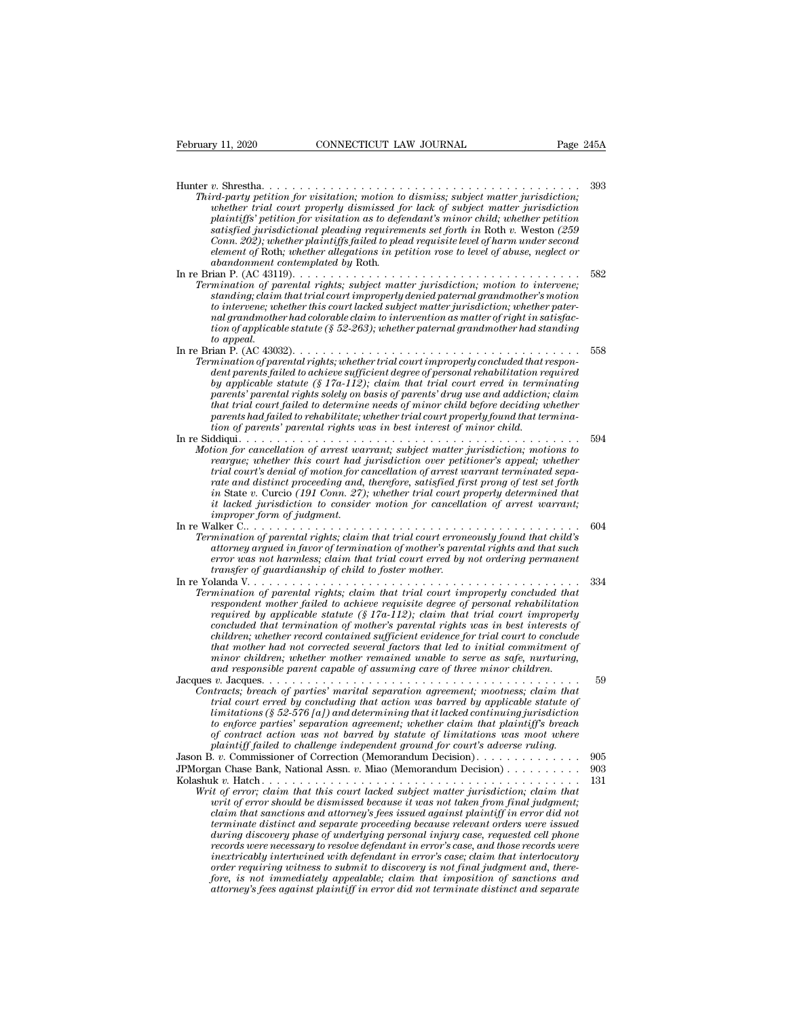| CONNECTICUT LAW JOURNAL<br>February 11, 2020<br>Page 245A                                                                                                                                                                                                                                                                                                                                                                                                                                                                                                                                                                                                                                                                                                                                                                                                                                                                                                                                                           |                   |
|---------------------------------------------------------------------------------------------------------------------------------------------------------------------------------------------------------------------------------------------------------------------------------------------------------------------------------------------------------------------------------------------------------------------------------------------------------------------------------------------------------------------------------------------------------------------------------------------------------------------------------------------------------------------------------------------------------------------------------------------------------------------------------------------------------------------------------------------------------------------------------------------------------------------------------------------------------------------------------------------------------------------|-------------------|
| Third-party petition for visitation; motion to dismiss; subject matter jurisdiction;<br>whether trial court properly dismissed for lack of subject matter jurisdiction<br>plaintiffs' petition for visitation as to defendant's minor child; whether petition<br>satisfied jurisdictional pleading requirements set forth in Roth v. Weston (259)<br>Conn. 202); whether plaintiffs failed to plead requisite level of harm under second<br>element of Roth; whether allegations in petition rose to level of abuse, neglect or<br>abandonment contemplated by Roth.                                                                                                                                                                                                                                                                                                                                                                                                                                                | 393               |
| Termination of parental rights; subject matter jurisdiction; motion to intervene;<br>standing; claim that trial court improperly denied paternal grandmother's motion<br>to intervene; whether this court lacked subject matter jurisdiction; whether pater-<br>nal grandmother had colorable claim to intervention as matter of right in satisfac-<br>tion of applicable statute (§ 52-263); whether paternal grandmother had standing<br>to appeal.                                                                                                                                                                                                                                                                                                                                                                                                                                                                                                                                                               | 582               |
| Termination of parental rights; whether trial court improperly concluded that respon-<br>dent parents failed to achieve sufficient degree of personal rehabilitation required<br>by applicable statute (§ 17a-112); claim that trial court erred in terminating<br>parents' parental rights solely on basis of parents' drug use and addiction; claim<br>that trial court failed to determine needs of minor child before deciding whether<br>parents had failed to rehabilitate; whether trial court properly found that termina-<br>tion of parents' parental rights was in best interest of minor child.                                                                                                                                                                                                                                                                                                                                                                                                         | 558               |
| Motion for cancellation of arrest warrant; subject matter jurisdiction; motions to<br>rearque; whether this court had jurisdiction over petitioner's appeal; whether<br>trial court's denial of motion for cancellation of arrest warrant terminated sepa-<br>rate and distinct proceeding and, therefore, satisfied first prong of test set forth<br>in State v. Curcio (191 Conn. 27); whether trial court properly determined that<br>it lacked jurisdiction to consider motion for cancellation of arrest warrant;<br><i>improper form of judgment.</i>                                                                                                                                                                                                                                                                                                                                                                                                                                                         | 594               |
| Termination of parental rights; claim that trial court erroneously found that child's<br>attorney argued in favor of termination of mother's parental rights and that such<br>error was not harmless; claim that trial court erred by not ordering permanent<br>transfer of guardianship of child to foster mother.                                                                                                                                                                                                                                                                                                                                                                                                                                                                                                                                                                                                                                                                                                 | 604               |
| Termination of parental rights; claim that trial court improperly concluded that<br>respondent mother failed to achieve requisite degree of personal rehabilitation<br>required by applicable statute $(\S 17a-112)$ ; claim that trial court improperly<br>concluded that termination of mother's parental rights was in best interests of<br>children; whether record contained sufficient evidence for trial court to conclude<br>that mother had not corrected several factors that led to initial commitment of<br>minor children; whether mother remained unable to serve as safe, nurturing,<br>and responsible parent capable of assuming care of three minor children.                                                                                                                                                                                                                                                                                                                                     | 334               |
| Contracts; breach of parties' marital separation agreement; mootness; claim that<br>trial court erred by concluding that action was barred by applicable statute of<br>limitations (§ 52-576 [a]) and determining that it lacked continuing jurisdiction<br>to enforce parties' separation agreement; whether claim that plaintiff's breach<br>of contract action was not barred by statute of limitations was moot where<br>plaintiff failed to challenge independent ground for court's adverse ruling.                                                                                                                                                                                                                                                                                                                                                                                                                                                                                                           | 59                |
| Jason B. v. Commissioner of Correction (Memorandum Decision).<br>JPMorgan Chase Bank, National Assn. v. Miao (Memorandum Decision)<br>Writ of error; claim that this court lacked subject matter jurisdiction; claim that<br>writ of error should be dismissed because it was not taken from final judgment;<br>claim that sanctions and attorney's fees issued against plaintiff in error did not<br>terminate distinct and separate proceeding because relevant orders were issued<br>during discovery phase of underlying personal injury case, requested cell phone<br>records were necessary to resolve defendant in error's case, and those records were<br><i>inextricably intertwined with defendant in error's case; claim that interlocutory</i><br>order requiring witness to submit to discovery is not final judgment and, there-<br>fore, is not immediately appealable; claim that imposition of sanctions and<br>attorney's fees against plaintiff in error did not terminate distinct and separate | 905<br>903<br>131 |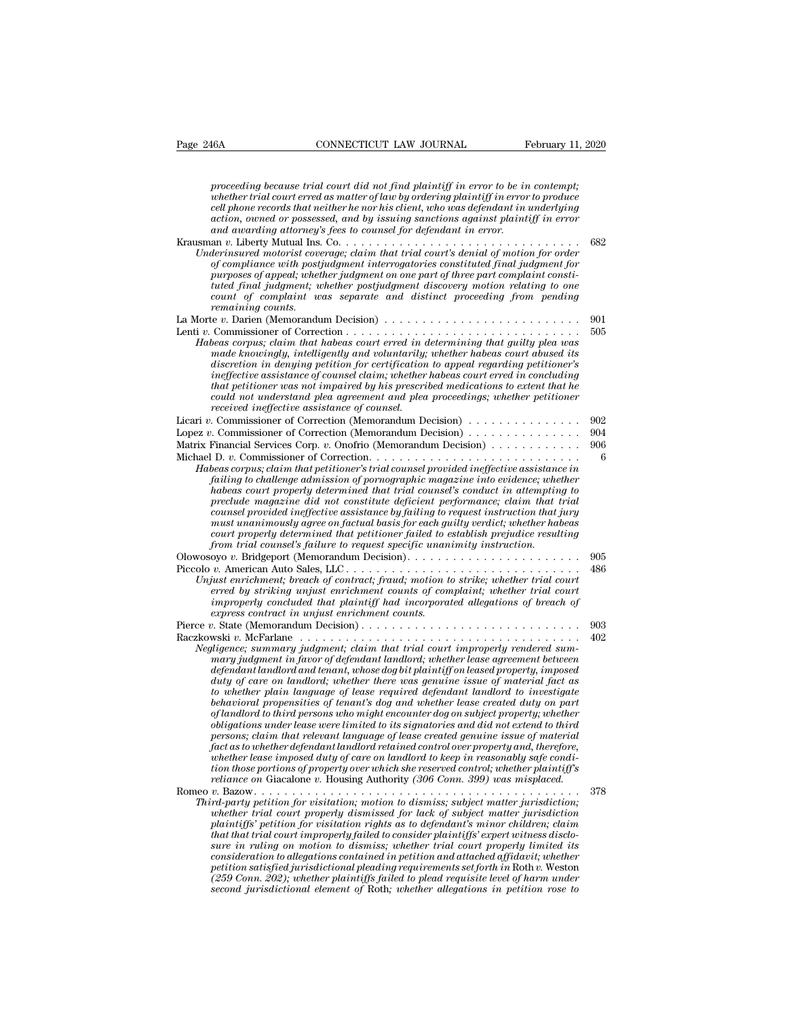*proceeding because trial court did not find plaintiff in error to be in contempt;*<br>*proceeding because trial court did not find plaintiff in error to be in contempt;*<br>*whether trial court erred as matter of law by orderin Whether trial court did not find plaintiff in error to be in contempt;*<br>*whether trial court did not find plaintiff in error to be in contempt;*<br>*whether trial court erred as matter of law by ordering plaintiff in error t* **connectively and that the connective records that neither records that neither trial court did not find plaintiff in error to be in contempt;**<br> *cords that neither trial court erred as matter of law by ordering plaintiff* February 11, 2020<br> **action, or proceeding because trial court did not find plaintiff in error to be in contempt;**<br>
whether trial court erred as matter of law by ordering plaintiff in error to produce<br>
cell phone records th *proceeding because trial court did not find plaintiff in error to be in*<br>whether trial court erred as matter of law by ordering plaintiff in error<br>cell phone records that neither he nor his client, who was defendant in a<br> proceeding because trial court did not find plaintiff in error to be in contempt;<br>whether trial court erred as matter of law by ordering plaintiff in error to produce<br>cell phone records that neither he nor his client, who *Proceeding because trial court did not find plaintiff in error to be in contempt;*<br> *Whether trial court erred as matter of law by ordering plaintiff in error to produce*<br> *Cell phone records that neither he nor his clien proceeding because trud court atd not jind planntiff in error to be in contempt;*<br>whether trial court erred as matter of law by ordering planntiff in error to produce<br>cell phone records that neither he nor his client, who *phone records that neither he nor his client, who was defendant in underlying action, owned or possessed, and by issuing sanctions against plaintiff in error and awarding attorney's fees to counsel for defendant in error. teu phone records indivient ne nor nis citent, who was aegendant in underiging*<br>action, owned or possessed, and by issuing sanctions against plaintiff in error<br>and awarding attorney's fees to counsel for defendant in erro *count of complaint was separate and distinct proceeding from pending ana awarang attorney*<br>
an v. Liberty Mutual Ins.<br> *derinswred motorist cover to compliance with posty*<br> *purposes of appeal*, whet<br> *tuted final judgment*; *u*<br> *count of complaint w*<br> *e* v. Darien (Memorandu La Morte *<sup>v</sup>*. Darien (Memorandum Decision) . . . . . . . . . . . . . . . . . . . . . . . . . . <sup>901</sup>

| xerinsurea moiorist colerage, cialm mai irau court s aentau of motion for orae.                                                                                          |     |
|--------------------------------------------------------------------------------------------------------------------------------------------------------------------------|-----|
| of compliance with postjudgment interrogatories constituted final judgment for                                                                                           |     |
| purposes of appeal; whether judgment on one part of three part complaint consti-                                                                                         |     |
| tuted final judgment; whether postjudgment discovery motion relating to one                                                                                              |     |
| count of complaint was separate and distinct proceeding from pending                                                                                                     |     |
| <i>remaining counts.</i>                                                                                                                                                 |     |
| La Morte v. Darien (Memorandum Decision) $\dots \dots \dots \dots \dots \dots \dots \dots \dots \dots \dots$                                                             | 901 |
|                                                                                                                                                                          | 505 |
| Habeas corpus; claim that habeas court erred in determining that quilty plea was                                                                                         |     |
| made knowingly, intelligently and voluntarily; whether habeas court abused its                                                                                           |     |
| discretion in denying petition for certification to appeal regarding petitioner's                                                                                        |     |
| ineffective assistance of counsel claim; whether habeas court erred in concluding                                                                                        |     |
| that petitioner was not impaired by his prescribed medications to extent that he                                                                                         |     |
| could not understand plea agreement and plea proceedings; whether petitioner                                                                                             |     |
| received ineffective assistance of counsel.                                                                                                                              |     |
| Licari v. Commissioner of Correction (Memorandum Decision) $\dots \dots \dots \dots \dots$                                                                               | 902 |
| Lopez v. Commissioner of Correction (Memorandum Decision) $\dots \dots \dots \dots \dots$                                                                                | 904 |
| Matrix Financial Services Corp. v. Onofrio (Memorandum Decision)                                                                                                         | 906 |
|                                                                                                                                                                          | 6   |
| Habeas corpus; claim that petitioner's trial counsel provided ineffective assistance in                                                                                  |     |
| failing to challenge admission of pornographic magazine into evidence; whether                                                                                           |     |
| habeas court properly determined that trial counsel's conduct in attempting to                                                                                           |     |
| preclude magazine did not constitute deficient performance; claim that trial<br>counsel provided ineffective assistance by failing to request instruction that jury      |     |
| must unanimously agree on factual basis for each guilty verdict; whether habeas                                                                                          |     |
| court properly determined that petitioner failed to establish prejudice resulting                                                                                        |     |
| from trial counsel's failure to request specific unanimity instruction.                                                                                                  |     |
| Olowosoyo v. Bridgeport (Memorandum Decision). $\ldots \ldots \ldots \ldots \ldots \ldots \ldots \ldots$                                                                 | 905 |
|                                                                                                                                                                          | 486 |
| Unjust enrichment; breach of contract; fraud; motion to strike; whether trial court                                                                                      |     |
| erred by striking unjust enrichment counts of complaint; whether trial court                                                                                             |     |
| improperly concluded that plaintiff had incorporated allegations of breach of                                                                                            |     |
| express contract in unjust enrichment counts.                                                                                                                            |     |
|                                                                                                                                                                          | 903 |
|                                                                                                                                                                          | 402 |
| Negligence; summary judgment; claim that trial court improperly rendered sum-                                                                                            |     |
| mary judgment in favor of defendant landlord; whether lease agreement between                                                                                            |     |
| defendant landlord and tenant, whose dog bit plaintiff on leased property, imposed                                                                                       |     |
| duty of care on landlord; whether there was genuine issue of material fact as                                                                                            |     |
| to whether plain language of lease required defendant landlord to investigate                                                                                            |     |
| behavioral propensities of tenant's dog and whether lease created duty on part                                                                                           |     |
| of landlord to third persons who might encounter dog on subject property; whether                                                                                        |     |
| obligations under lease were limited to its signatories and did not extend to third                                                                                      |     |
| persons; claim that relevant language of lease created genuine issue of material<br>fact as to whether defendant landlord retained control over property and, therefore, |     |
| whether lease imposed duty of care on landlord to keep in reasonably safe condi-                                                                                         |     |
| tion those portions of property over which she reserved control; whether plaintiff's                                                                                     |     |
| reliance on Giacalone v. Housing Authority (306 Conn. 399) was misplaced.                                                                                                |     |
| Romeo v. Bazow.                                                                                                                                                          | 378 |
| Third-party petition for visitation; motion to dismiss; subject matter jurisdiction;                                                                                     |     |
| whether trial court properly dismissed for lack of subject matter jurisdiction                                                                                           |     |
| plaintiffs' petition for visitation rights as to defendant's minor children; claim                                                                                       |     |
| that that trial court improperly failed to consider plaintiffs' expert witness disclo-                                                                                   |     |

*Third-party petition for visitation; motion to dismiss; subject matter jurisdiction; whether trial court properly dismissed for lack of subject matter jurisdiction plaintiffs' petition for visitation rights as to defendan plact as to unether acgendant and onrelated control over property and, therefore*,<br>*point there lease imposed duty of care on landod to keep in reasonably safe condi-<br>tion those portions of property over which she reserve that that trial court improperly of care on tandona to keep in reasonably saje condition those portions of property over which she reserved control; whether plaintiff's*  $v$ *. Bazow \ldots \ldots \ldots \ldots \ldots \ldots \ldots \ldots \ldots \ldots \ldots \ldots \ldots \ sure in ruling on motion to dismiss; whether trial court properly limited its consideration to allegations contained in the allegation to allegaty peritons contained party petition for visitation; whether trial court properly dismissed for lack of subject matter jurisdiction; whether trial court pr perity petition for visitation; motion to dismiss; subject matter jurisdiction; whether trial court properly dismissed for lack of subject matter jurisdiction plaintiffs' petition for visitation rights as to defendant's m rd-party petition for visitation; motion to dismiss; subject matter jurisdiction; whether trial court properly dismissed for lack of subject matter jurisdiction plaintiffs' extintion from visitation plaintiffs' experiment second further trial court property dismissed for lack of subject matter jurisdiction* plaintiffs' petition for visitation rights as to defendant's minor children; claim-<br>that that trial court improperty failed to conside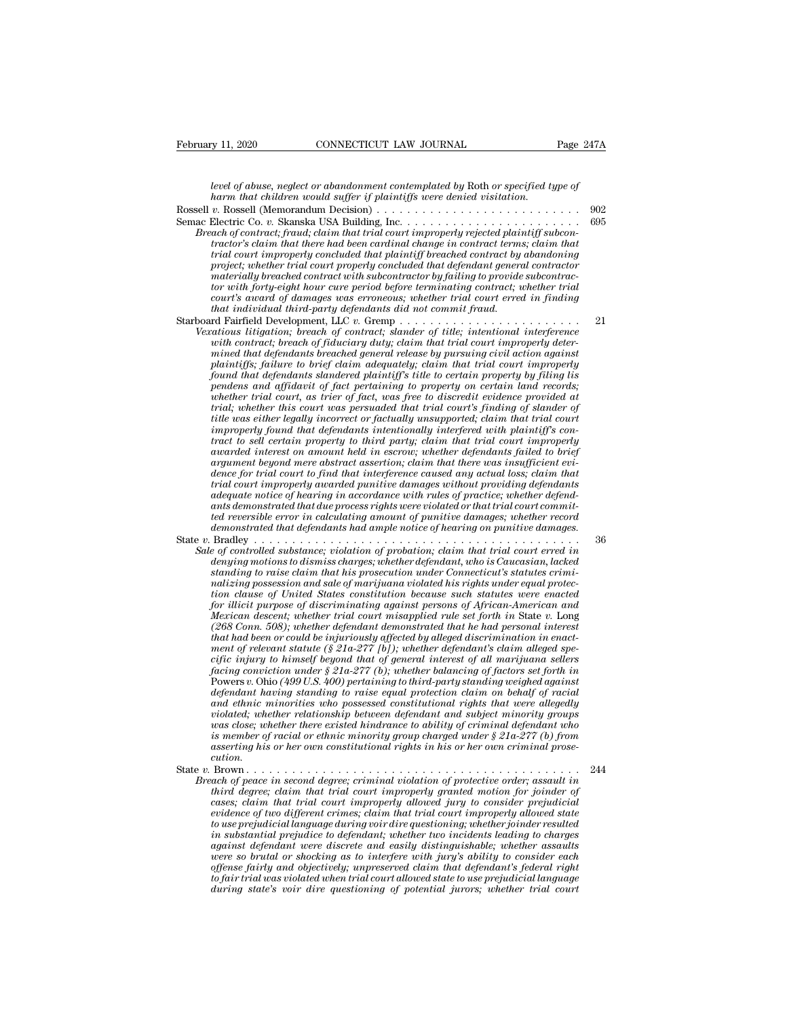*level of abuse, neglect or abandonment contemplated by* Roth *or specified type of*<br>*harm that children would suffer if plaintiffs were denied visitation.*<br>*r* Rossell (Memorandum Decision) February 11, 2020 CONNECTICUT LAW JOURNAL Page 247A<br> *harm that children would suffer if plaintiffs were denied visitation.*<br> *harm that children would suffer if plaintiffs were denied visitation.*<br> **Rossell v. Rossell (Me** February 11, 2020 CONNECTICUT LAW JOURNAL Page 247A<br> *level of abuse, neglect or abandonment contemplated by* Roth *or specified type of*<br> *harm that children would suffer if plaintiffs were denied visitation.*<br>
Rossell *v* February 11, 2020<br>
Level of abuse, neglect or abandonment contemplated by Roth or specified type of<br>
harm that children would suffer if plaintiffs were denied visitation.<br>
Rossell v. Rossell (Memorandum Decision) . . . . . *Breach of abuse, neglect or abandonment contemplated by Roth or specified type of*<br>*harm that children would suffer if plaintiffs were denied visitation.*<br> $B_1$  w. Rossell (Memorandum Decision)<br>*ac Electric Co. v. Skanska tractor's claim that there had been cardinal change in contract terms; claim that tevel of abuse, neglect or abandonment contemplated by Roth or specified type of*<br>*harm that children would suffer if plaintiffs were denied visitation.*<br>*v. Rossell (Memorandum Decision)* . . . . . . . . . . . . . . . . *project; whether trial court properly concluded that defendant general contractor materially breached contract with subcontractor by failing to provide subcontractor with forty-eight hour cure period before terminating contract; whether trial court's award of damages was erroneous; whether trial court erred in finding* ach of contract; fraud; claim that trial court improperty rejected plain<br>tractor's claim that there had been cardinal change in contract terms<br>trial court improperly concluded that plaintiff breached contract by<br>project; w Fraction Starting that the matter had been carried that plaintiff breached contract terms; claim that principly concluded that defendant general contractor project; whether trial court properly concluded that defendant gen *Vexatious line traid contraction material contraction materially breached contract with subcontractor by failing to provide subcontractor with forty-eight hour cure period before terminating contract; whether trial court' project; whether trial court properly concluded that defendant general contractor materially breached contract with subcontractor by failing to provide subcontract-<br>tor with forty-eight hour cure period before terminating materially oreached contract with subcontractor of Jauting contract whistration with forty-eight hour cure period before terminating contract; whether trial court's award of damages was erroneous; whether trial court erre plays tor with jorty-eight nour cure period bejore terminating contract; whether trial court's awas to serve to be damags was erroneous; whether trial court erred in finding that individual third-party defendants did not found that defendants slandered plaintiff's title to certain property by filing lis pendens and affidavit of fact pertaining to property on certain land records;* rd Fairfield Development, LLC v. Gremp<br> *witrous litigation; breach of contract, slander of title; intentional interference*<br>
with contract, breach of fiduciny duty; claim that trial court improperly deter-<br>
with contract, *tatious titrgation; breach of contract; stander of title; intentional interference*<br>with contract; breach of fiduciary duty; claim that trial court improperly deter-<br>mined that defendants breached general release by pursu *title was either that defendants breached general release by pursuing civil action against* plaintiffs; failure to brief claim adequately, claim that trial court improperty plaintiffs; failure to brief claim adequately, c *immed that defendants breached general release by pursuing civil action against<br>plaintiffs; failure to brief claim adequately; claim that trial court improperly<br>found that defendants slanderd plaintiff's tilt to certain p* planntiffs; failure to brief claim adequately; claim that trial court improperty<br>found that defendants slandered plaintiff's title to certain property by filing lis<br>pendens and affidavit of fact pertaining to property on c *pound that defendants standered planntyf's title to certain property by juling lis* pendens and affidavit of fact pertaining to property on certain land records; whether trial court, as trier of fact, was free to discredi penaens and affuaavit of fact pertaining to property on certain land records;<br>whether trial court, as trier of fact, was free to discredit evidence provided at<br>trial; whether this court was persuaded that trial court's fin *dence for trial court, as trier of fact, was free to discredit evidence provided at trial; whether this court was persuaded that trial court's finding of slander of tide was either legally incorret or factually unsupporte trial; whether this court was persuaded that trial court's jinding of slander of*<br>title was either legally incorrect or factually unsupported; claim that trial court<br>improperly found that defendants intentionally interfer *tutte was either legally incorrect or jactually unsupported; claim that trad court improperly found that defendants intentionaly interfered with plaintiff's contract to sell certain property to third party; claim that tri and tract to sell certain property to third party; claim that trial court improperty awarded interest on amount held in escrow; whether defendants failed to brief argument beyond mere abstract assertion; claim that there tract to sell certain property to third party; claim that trial court improperty*<br>awarded interest on amount held in escrow; whether defendants failed to brief<br>argument beyond mere abstract assertion; claim that three was *demonstrated interest on amount held in escrow; whether defendants jailed to brief* argument beyond mere abstract assertion; claim that there was insufficient evidence for trial court to find that interference caused any aryument vegona mere abstract assertion; canni until there was this<br>alford that trial court improperly awarded punitive damages without providing defendants<br>trial court improperly awarded punitive damages without providing aence for trial court to final mat interference caused any actual toss; claim that<br>trial court improperly awarded punitive damages without providing defendants<br>adequate notice of hearing in accordance with rules of practic *dequate noice of hearing in accordance with rules of practice; whether defendants demonstrated that due process rights were violated or that trial court committed reversible error in calculating amount of punitive damages standing thouce of hearing in accordance with rules of practice; whether aegena-<br>ants demonstrated that deprocess rights were violated or that trial court commit-<br>ted reversible error in calculating amount of punitive dam* ants aemonstrated that are process rights were violated or that trial court commutted reversible error in calculating amount of punitive damages; whether record demonstrated that defendants had ample notice of hearing on p *tea reversiote error in catcutating amount of punitive aamages; whether record*<br> *teamonstrated that defendants had ample notice of hearing on punitive damages.*<br> *e of controlled substance; violation of probation; claim demonstrated that defendants had ampte notice of nearring on punttive damages.*<br> *for infinites that increases of discrimination of probation, claim that trial court erred in***<br>** *denying motions to dismiss charges; whethe Mexican descention of probation, claim that trial court erred in*<br> *Mexican derying motions to dismiss charges; whether defendant, who is Caucasian, lacked*<br> *derying motions to dismiss charges; whether defendant, who is* Sale of controlled substance; violation of probation; claim that trial court erred in denying motions to dismiss charges; whether defendant, who is Caucasian, lacked standing to raise claim that his prosecution under Conne *denying motions to dismiss charges; whether defendant, who is Caucasian, lacked*<br>standing to raise claim that his prosecution under Connecticut's statutes crimi-<br>nalizing possession and sale of marijuana violated his righ *standing to raise claim that his prosecution under Connecticut's statutes criminalizing possession and sale of marijuana violated his rights under equal protection claims of United States constitution because such statute* ratizing possession and sate of marijuana violated his rights under equal protection clause of United States constitution because such statutes were enacted for illicit purpose of discriminating against persons of African*fton clause of United States constitution because such statutes were enacted* for illicit purpose of discriminating against persons of African-American and Mexican descent; whether trial court misapplied rule set forth in for illicut purpose of discriminating against persons of African-American and<br>Mexican descent; whether trial court misapplied rule set forth in State v. Long<br>(268 Come. 508); whether defendant demonstrated that he had pers *Mexican descent; whether trial court misapplied rule set forth in State v. Long* (268 Conn. 508); whether defendant demonstrated that he had personal interest<br>that had been or could be injuriously affected by alleged disc (268 Conn. 508); whether defendant demonstrated that he had personal interest<br>that had been or could be injuriously affected by alleged discrimination in enact-<br>ment of relevant statute (§ 21a-277 [b]); whether defendant's *that had been or could be infurrously affected by alleged discrimination in enactment of relevant statute (§ 21a-277 [b]); whether defendant's claim alleged specific injury to himself beyond that of general interest of al where there in the set of the existed hindred for the meridic injury to himself beyond that of general interest of all marijuan sellers* facing conviction under § 21a-277 (b); whether balancing of factors set forth in Fow *cyfic injury to himself beyond that of general interest of all marijuana sellers* facing conviction under § 21a-277 (b); whether balancing of factors set forth in Powers v. Ohio (499 U.S. 400) pertaining to third-party st *facing conviction under*  $\S$  21a-277 (b); whether balancing of factors set forth in Powers v. Ohio (499 U.S. 400) pertaining to third-party standing weighed against defendant having standing to raise equal protection cla *cution. and ethnic mioring stanting to ratise equal protection clarin on bending of raction*<br> *and ethnic minorities who possessed constitutional rights that were allegedly<br>
violated; whether relationship between defendant and su Breach of peace in second degree; criminal violation of protective order and subject minority groups*<br> *Breads, whether there existed hindrance to ability of criminal defendant who*<br> *is member of racial or ethnic minorit third mether relationship between degendant and subject minority groups*<br> *this member of racial or ethnic minority group charged under § 21a-277 (b) from*<br> *is member of racial or ethnic minority group charged under § 21 cases; whether there existed ninarance to abituly of criminal aefendant who*<br>as member of racial or ethnic minority group charged under § 21a-277 (b) from<br>asserting his or her own constitutional rights in his or her own c *evidence of two different crimes; claim that trial court improperly allowed state of peace in second degree; criminal violation of protective order; assault in third degree; claim that trial court improperly granted moti* 

*to use prejudicial language during voir dire questioning; whether joinder resulted in substantial prejudice to degree; criminal violation of protective order; assault in*  $ach \phi$  *f peace in second degree; criminal violation of protective order; assault in third degree; claim that trial court improperly against defendant were discrete and easily distinguishable; where the finited degree; claim that trial court improperly granted motion for joinder of cases; claim that trial court improperly allowed jury to consider preju* ach of peace in second degree; criminal violation of protective order; assault in third degree; claim that trial court improperly granted motion for joinder of cases; claim that firial court improperly allowed jury to cons *therd degree; claim that trial court improperty granted motion for joinder of cases; claim that trial court improperty allowed jury to consider prejudicial evidence of two different crimes; claim that trial court improper cases; clarm that trial court improperty allowed jury to consider prejudicial levidence of two different crimes; claim that trial court improperty allowed state to use prejudicial language during voir direct in substantia to* use prejudicial language during voir dire questioning; whether joinder resulted in substantial prejudice to defendant; whether two incidents leading to charges against defendant were discrete and easily distinguishabl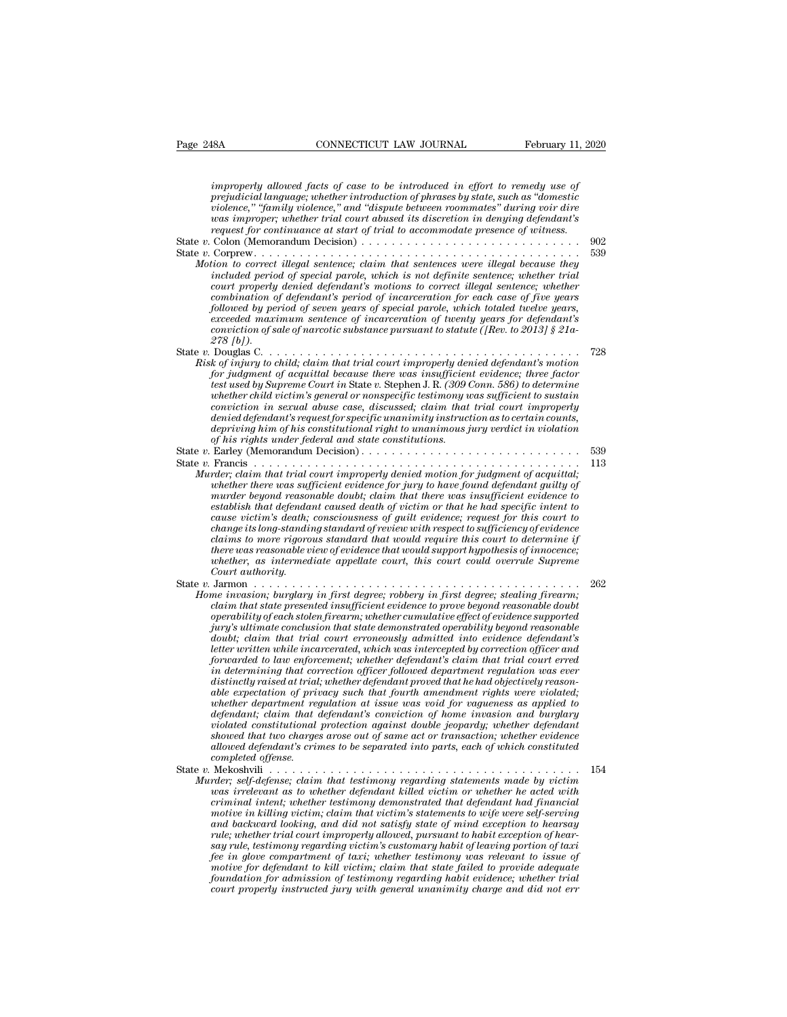| Page 248A                                | CONNECTICUT LAW JOURNAL                                                                                                                                                                                                                                                                                                                                                                                                                                                                                                                                                                                                                                                                                                                                                                                                                                                                                                                                                                                                                                                                                                                                                                                                                                                                   | February 11, 2020 |
|------------------------------------------|-------------------------------------------------------------------------------------------------------------------------------------------------------------------------------------------------------------------------------------------------------------------------------------------------------------------------------------------------------------------------------------------------------------------------------------------------------------------------------------------------------------------------------------------------------------------------------------------------------------------------------------------------------------------------------------------------------------------------------------------------------------------------------------------------------------------------------------------------------------------------------------------------------------------------------------------------------------------------------------------------------------------------------------------------------------------------------------------------------------------------------------------------------------------------------------------------------------------------------------------------------------------------------------------|-------------------|
| 278 [b]).                                | improperly allowed facts of case to be introduced in effort to remedy use of<br>prejudicial language; whether introduction of phrases by state, such as "domestic<br>violence," "family violence," and "dispute between roommates" during voir dire<br>was improper; whether trial court abused its discretion in denying defendant's<br>request for continuance at start of trial to accommodate presence of witness.<br>Motion to correct illegal sentence; claim that sentences were illegal because they<br>included period of special parole, which is not definite sentence; whether trial<br>court properly denied defendant's motions to correct illegal sentence; whether<br>combination of defendant's period of incarceration for each case of five years<br>followed by period of seven years of special parole, which totaled twelve years,<br>exceeded maximum sentence of incarceration of twenty years for defendant's<br>conviction of sale of narcotic substance pursuant to statute ([Rev. to 2013] $\S$ 21a-                                                                                                                                                                                                                                                          | 902<br>539        |
|                                          | Risk of injury to child; claim that trial court improperly denied defendant's motion<br>for judgment of acquittal because there was insufficient evidence; three factor<br>test used by Supreme Court in State v. Stephen J. R. (309 Conn. 586) to determine<br>whether child victim's general or nonspecific testimony was sufficient to sustain<br>conviction in sexual abuse case, discussed; claim that trial court improperly<br>denied defendant's request for specific unanimity instruction as to certain counts,<br>depriving him of his constitutional right to unanimous jury verdict in violation<br>of his rights under federal and state constitutions.                                                                                                                                                                                                                                                                                                                                                                                                                                                                                                                                                                                                                     | 728               |
| Court authority.                         | Murder; claim that trial court improperly denied motion for judgment of acquittal;<br>whether there was sufficient evidence for jury to have found defendant guilty of<br>murder beyond reasonable doubt; claim that there was insufficient evidence to<br>establish that defendant caused death of victim or that he had specific intent to<br>cause victim's death; consciousness of guilt evidence; request for this court to<br>change its long-standing standard of review with respect to sufficiency of evidence<br>claims to more rigorous standard that would require this court to determine if<br>there was reasonable view of evidence that would support hypothesis of innocence;<br>whether, as intermediate appellate court, this court could overrule Supreme                                                                                                                                                                                                                                                                                                                                                                                                                                                                                                             | 539<br>113        |
| State $v$ . Jarmon<br>completed offense. | Home invasion; burglary in first degree; robbery in first degree; stealing firearm;<br>claim that state presented insufficient evidence to prove beyond reasonable doubt<br>operability of each stolen firearm; whether cumulative effect of evidence supported<br>jury's ultimate conclusion that state demonstrated operability beyond reasonable<br>doubt; claim that trial court erroneously admitted into evidence defendant's<br>letter written while incarcerated, which was intercepted by correction officer and<br>forwarded to law enforcement; whether defendant's claim that trial court erred<br>in determining that correction officer followed department regulation was ever<br>distinctly raised at trial; whether defendant proved that he had objectively reason-<br>able expectation of privacy such that fourth amendment rights were violated;<br>whether department regulation at issue was void for vagueness as applied to<br>defendant; claim that defendant's conviction of home invasion and burglary<br>violated constitutional protection against double jeopardy; whether defendant<br>showed that two charges arose out of same act or transaction; whether evidence<br>allowed defendant's crimes to be separated into parts, each of which constituted | 262               |
|                                          | Murder; self-defense; claim that testimony regarding statements made by victim<br>was irrelevant as to whether defendant killed victim or whether he acted with<br>criminal intent; whether testimony demonstrated that defendant had financial<br>motive in killing victim; claim that victim's statements to wife were self-serving<br>and backward looking, and did not satisfy state of mind exception to hearsay<br>rule; whether trial court improperly allowed, pursuant to habit exception of hear-<br>say rule, testimony regarding victim's customary habit of leaving portion of taxi<br>fee in glove compartment of taxi; whether testimony was relevant to issue of<br>motive for defendant to kill victim; claim that state failed to provide adequate<br>foundation for admission of testimony regarding habit evidence; whether trial<br>court properly instructed jury with general unanimity charge and did not err                                                                                                                                                                                                                                                                                                                                                     | 154               |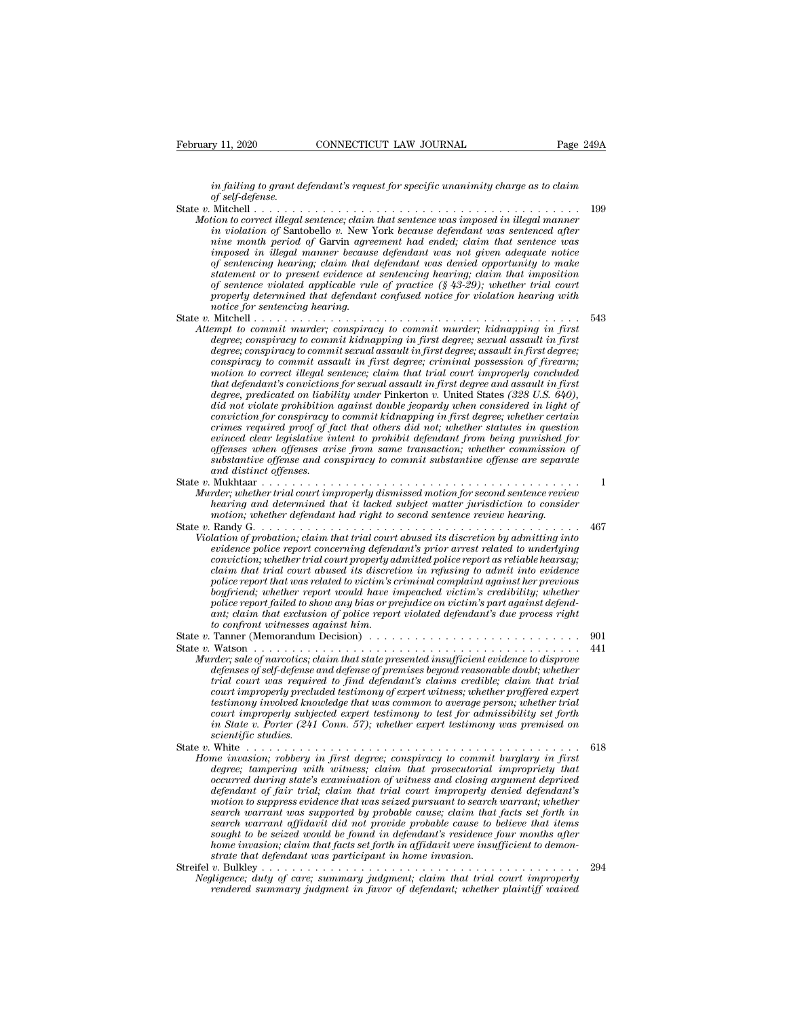*in failing to grant defendant's request for specific unanimity charge as to claim of self-defense.*

State *<sup>v</sup>*. Mitchell . . . . . . . . . . . . . . . . . . . . . . . . . . . . . . . . . . . . . . . . . . . <sup>199</sup> *Motion to correct illegal sentence; claim that sentence was imposed in illegal manner*<br>*Motion to correct illegal sentence; claim that sentence was imposed in illegal manner*<br>*in that sentence; claim that sentence was imp in violation of* Santobello *v.* New York *because defendant was sentenced after nine month period of* Garvin *agreement had ended; claim that sentence was imposed in illegal manner because defendant was not given adequate notice of self-defense.*<br> *of self-defense.*<br> *of self-defense.*<br> *of self-defense.*<br> *of self-defense.*<br> *of sentence: claim that sentence was imposed in illegal manner*<br> *in violation of Santobello v. New York because defend statement of sett-defense.*<br> *statemention to correct illegal sentence; claim that sentence was imposed in illegal manner*<br> *in violation of Santobello v. New York because defendant was sentenced after*<br> *nine month perio of sentence violated applicable rule of practice (§ 43-29); whether trial court properly determined that sentence* was mposed in itegat manner<br>in violation of Santobello v. New York because defendant was sentenced after<br>mine month period of Garvin agreement had ended, claim that sentence was<br>imposed *n vuolation of Santobello v. New Youne moonth period of Garvin agrees in illegal mamer because<br>of sentencing hearing; claim that chatter for sentencing hearing; claim that chatter exidence at of sentence violated applic* mne month period of Garvin agreement had ended; claim that sentence was<br>imposed in illegal manner because defendant was not given adequate notice<br>of sentencing hearing; claim that defendant was denied opportunity to make<br>s *Attempt to commit hearing; claim that defendant was not given adequate nonce* of sentencing hearing; claim that defendant was denied opportunity to make statement or to present evidence at sentencing hearing; claim that i *degree; conspiracy to commit assault in first degree; conspiracy to commit assault in first degree at sentencing hearing; claim that imposition* of *sentence violated applicable rule of practice (§ 43-29); whether trial c degree iolated applicable rule of practice (§ 43-29); whether trial court* of sentence violated applicable rule of practice (§ 43-29); whether trial court properly determined that degree, and notice for sentencing hearing *conspiracy determined that defendant confused notice (§ 43-29); whether trial court<br>properly determined that defendant confused notice for violation hearing with<br>notice for sentencing hearing commit murder; commit murder; motion to correct illegal sentence; claim that trial court improperly concluded that defendant's convictions for sexual assault in first degree and assault in first degree, conspiracy to commit murder; kidnapping in first*<br>*degree; conspiracy to commit sexual assault in first degree; sexual assault in first<br>degree; conspiracy to commit sexual assault in first degree; sexual assault i digree; conspiracy to commit murder; kudnapping in first* degree; conspiracy to commit kidnapping in first degree; sexual assault in first degree; conspiracy to commit sexual assault in first degree; consideration conside *degree; conspiracy to commit kidnapping in first degree; sexual assault in first degree; conspiracy to commit sexual assault in first degree; casault in first degree; conspiracy to commit assault in first degree; criminal degree; conspiracy to commit sexual assault in first degree; assault in first degree; conspiracy to commit assault in first degree; criminal possession of firearm; motion to correct illegal sentence; claim that trial cour eonspiracy to commit assault in first degree; criminal possession of firearm;*<br>motion to correct illegal sentence; claim that trial court improperly concluded<br>that defendant's convictions for sexual assault in first degre motion to correct utegal sentence; claim that trial court improperty concluded<br>that defendant's convictions for sexual assault in first degree and assault in first<br>degree, predicated on liability under Pinkerton v. United *that defendant's convections for sexual assault in first degree and assault in first degree, predicated on liability under Pinkerton v. United States (328 U.S. 640), did not violate prohibition against double jeopardy whe degree, predicated on liabil*<br> *did not violate prohibition*<br> *conviction for conspiracy to*<br> *crimes required proof of fc*<br> *evinced clear legislative in*<br> *offenses when offenses*<br> *Mukhtar .........*<br> *Mukhtar whether* and not violate prontotition against abubie yeoparay when considered in tight of<br>conviction for conspiracy to commit kidnapping in first degree; whether critain<br>crimes required proof of fact that others did not; whether st *Conviction for conspiracy to commit kianopping in first aegree; whether certain*<br> *crimes required proof of fact that others did not; whether statutes in question*<br> *evinced clear legislative intent to prohibit defendant crimes required proof of Jact indi others and not; whether statutes in question*<br>evinced clear legislative intent to prohibit defendant from being punished for<br>offenses when offenses arise from same transaction; whether c *motion; whether defendant from being punished for*<br>*offenses when offenses arise from same transaction; whether commission of*<br>*substantive offense and conspiracy to commit substantive offense are separate*<br>*and distinct* by the set when of geness arise from same transaction, whether commission of<br>substantive offense and conspiracy to commit substantive offense are separate<br>and distinct offenses.<br>State v. Mukhtaar . . . . . . . . . . . . . *Violation of probation; claim that trial court abused its discretion by admitting into evidence report concerning defendant* is priori and distinction of the matrice report of the report of the report concerning and determined that it lacked subject matter jurisdiction to consider motion; whether defendant *conviction; whether trial court improperly dismissed motion for second sentence review*<br>*conviction; whether defendant had right to second sentence review motion; whether defendant had right to second sentence review hear caer, whether trial court improperiy assmissed motion for second sentence review hearing and determined that it lacked subject matter jurisdiction to consider motion, whether defendant had right to second sentence review police report that was related to victimis or invisible report that was related to victiminal court to victiminal court to victiminal court to victiminal court to victiminal court to victiminal court to evidence police re boyfriend; whether report would have impeached victim's credibility; whether* Franchy G. D. Constraint that trial court abused its discretion by admitting into a evidence police report concerning defendant's prior arrest related to underlying conviction; whether trial court properly admitted police *and antion: and antion: antion: antion: antion: antion: antion: antion: antion: antion: antion: antion: antion: antion: antion: antion: antion: antion: antion: antion: antion: to conviction, whether trial court properly admitted police report as reliable hearsay,*<br>*claim that trial court abused its discretion in refusing to admit into evidence*<br>*police report that was related to victim's crimin* conviction; whener trial court property dimitied police report as retualle hearsay;<br>
claim that trial court abused its discretion in refusing to admit into evidence<br>
police report that was related to victim's criminal comp Extrained that variables are stated to victim's criminal complaint against her previous<br>policine report that was related to victim's criminal complaint against her previous<br>boyfriend; whether report would have impeached vi *Murder port inter report would have impeached victims Murder in Scribility; whether*<br>*police report failed to show any bias or prejudice on victim's part against defendant; claim that exclusion of police report violated defenses of self-defense and defense of premises beyond reason field to show any bias or prejudice m* victim's part against defended  $\alpha$  and; claim that exclusion of police report violated defendant's due process right t power report jauted to show any otas or prejudice on victim s part against aejenatric daim that exclusion of police report violated defendant's due process right<br>to confront witnesses against him.<br>Tanner (Memorandum Decisi *court improperly precluded testimony of expert witness; whether proffered expert to confront winesses against num.*<br> **Tanner (Memorandum Decision)**<br> **that was common to average that was common to average that was required to average defenses of self-defense and defense of premises beyond reasonable do** Fanner (Memorandum Decision)<br>
Watson<br>
Watson<br> *courter*; sale of narcotics; claim that state presented insufficient evidence to disprove<br> *defenses of self-defense and defense of premises beyond reasonable doubt; whether<br> inder; sale of narcotics; claim that state presented insufficient evidence to disprove*<br>*idefense of self-defense and defense of premises beyond reasonable doubt; whether*<br>*trial court was required to find defendant's cla rder; sale of narcotics; clafenses of self-defense irrial court was require*<br>*court improperly preclu*<br>*court improperly preclu*<br>*testimony involved know*<br>*court improperly subje<br>in State v. Porter (241<br>White ...........* degenses of setf-degense and degense of premises oegona reasonable doubl; whether<br>trial court improperly precluded testimony of expert witness; whether proffered expert<br>cestimony involved knowledge that was common to avera *Home invasion; robbery precluded testimony of expert windrogenity precluded testimony involved knowledge that was common to average person; whether trial court improperly subjected expert testimony to test for admissibili degree)* preculaed testimony of expert witness; whether proffered expert<br>testimony involved knowledge that was common to average person; whether trial<br>court improperly subjected expert testimony to test for admissibility *occurred my myouved knowledge that was common to average person; whether trancourt improperly subjected expert testimony to test for admissibility set forth in State v. Porter (241 Conn. 57); whether expert testimony was defendant of fair trial; claim that trial court improperly subjected expert testimony to test for damissionity set forth sicilarity claim that trial; claim that trial courrel impropriety in first degree; tampering with wi motion to suppress evidence that was seized pursuant to search warrant; whether search warrant was supported by probable cause; claim that facts set forth in search warrant affidavit did not provide probable cause to believe that items me unvasion; robbery in first degree; conspiracy to commit burglary in first degree; tampering state's examination of witness and closing argument deprived occurred diring state's examination of witness and closing argume degree; tampering with witness; claim that prosecutorial impropriety that* occurred during state's examination of witness and closing argument deprived defendant's fair trial; claim that trial court improprig denied defen *state's examination of witness and closing and defendant of fair trial; claim that trial court improperly demotion to suppress evidence that was seized pursuant to search warrant was supported by probable cause; claim tha* agendant of fart trial, calum that trial court improperty denied agendants<br>motion to suppress evidence that was seized pursuant to search warrant; whether<br>search warrant affidavit did not provide probable cause to believe motion to suppress evidence that was seized pursuant to search warrant; whether<br>search warrant was supported by probable cause; claim that facts set forth in<br>search warrant affidavit did not provide probable cause to belie *reader warrant was supported by probable cause; claim inat jacts set jorn in search warrant affidavit did not provide probable cause to believe that items sought to be seized would be found in defendant's residence four m*